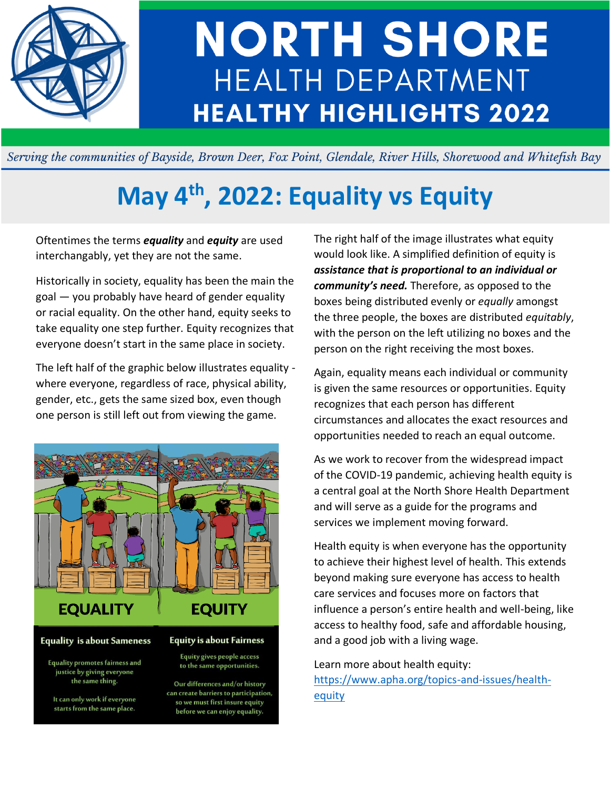

# **NORTH SHORE HEALTH DEPARTMENT HEALTHY HIGHLIGHTS 2022**

Serving the communities of Bayside, Brown Deer, Fox Point, Glendale, River Hills, Shorewood and Whitefish Bay

# **May 4th, 2022: Equality vs Equity**

Oftentimes the terms *equality* and *equity* are used interchangably, yet they are not the same.

Historically in society, equality has been the main the goal — you probably have heard of gender equality or racial equality. On the other hand, equity seeks to take equality one step further. Equity recognizes that everyone doesn't start in the same place in society.

The left half of the graphic below illustrates equality where everyone, regardless of race, physical ability, gender, etc., gets the same sized box, even though one person is still left out from viewing the game.



#### **Equality is about Sameness**

**Equality promotes fairness and** justice by giving everyone the same thing.

It can only work if everyone starts from the same place.

**Equity is about Fairness** Equity gives people access

to the same opportunities.

Our differences and/or history can create barriers to participation, so we must first insure equity before we can enjoy equality.

The right half of the image illustrates what equity would look like. A simplified definition of equity is *assistance that is proportional to an individual or community's need.* Therefore, as opposed to the boxes being distributed evenly or *equally* amongst the three people, the boxes are distributed *equitably*, with the person on the left utilizing no boxes and the person on the right receiving the most boxes.

Again, equality means each individual or community is given the same resources or opportunities. Equity recognizes that each person has different circumstances and allocates the exact resources and opportunities needed to reach an equal outcome.

As we work to recover from the widespread impact of the COVID-19 pandemic, achieving health equity is a central goal at the North Shore Health Department and will serve as a guide for the programs and services we implement moving forward.

Health equity is when everyone has the opportunity to achieve their highest level of health. This extends beyond making sure everyone has access to health care services and focuses more on factors that influence a person's entire health and well-being, like access to healthy food, safe and affordable housing, and a good job with a living wage.

#### Learn more about health equity:

[https://www.apha.org/topics-and-issues/health](https://www.apha.org/topics-and-issues/health-equity)[equity](https://www.apha.org/topics-and-issues/health-equity)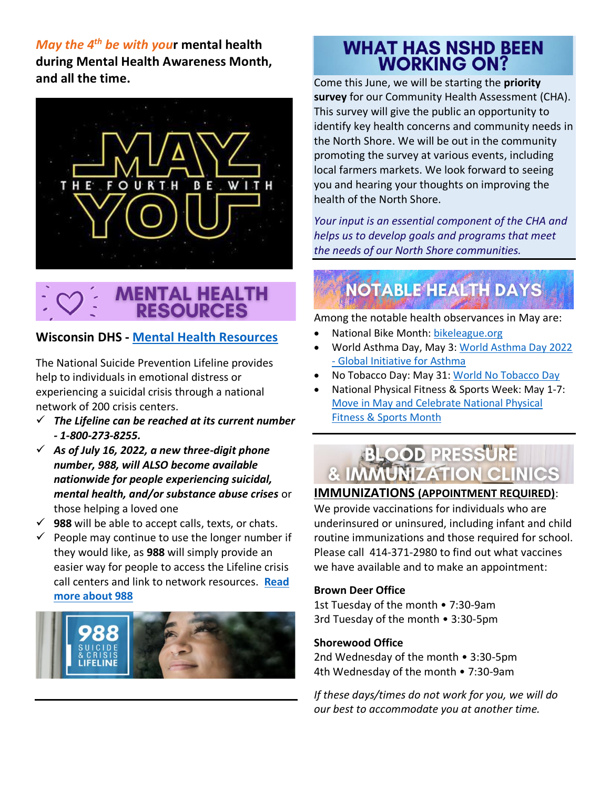*May the 4th be with you***r mental health during Mental Health Awareness Month, and all the time.**



# **MENTAL HEALTH RESOURCES**

## **Wisconsin DHS - Mental Health [Resources](https://www.dhs.wisconsin.gov/mh/phlmhindex.htm)**

The National Suicide Prevention Lifeline provides help to individuals in emotional distress or experiencing a suicidal crisis through a national network of 200 crisis centers.

- ✓ *The Lifeline can be reached at its current number - 1-800-273-8255.*
- $\checkmark$  As of July 16, 2022, a new three-digit phone *number, 988, will ALSO become available nationwide for people experiencing suicidal, mental health, and/or substance abuse crises* or those helping a loved one
- $\checkmark$  **988** will be able to accept calls, texts, or chats.
- $\checkmark$  People may continue to use the longer number if they would like, as **988** will simply provide an easier way for people to access the Lifeline crisis call centers and link to network resources. **[Read](https://www.samhsa.gov/sites/default/files/988-factsheet.pdf)  [more about 988](https://www.samhsa.gov/sites/default/files/988-factsheet.pdf)**



# **WHAT HAS NSHD BEEN WORKING ON?**

Come this June, we will be starting the **priority survey** for our Community Health Assessment (CHA). This survey will give the public an opportunity to identify key health concerns and community needs in the North Shore. We will be out in the community promoting the survey at various events, including local farmers markets. We look forward to seeing you and hearing your thoughts on improving the health of the North Shore.

*Your input is an essential component of the CHA and helps us to develop goals and programs that meet the needs of our North Shore communities.*

# **NOTABLE HEALTH DAYS**

Among the notable health observances in May are:

- National Bike Month: [bikeleague.org](https://bikeleague.org/bikemonth#:~:text=May%20is%20National%20Bike%20Month,to%20giving%20biking%20a%20try.)
- World Asthma Day, May 3: [World Asthma Day 2022](https://ginasthma.org/world-asthma-day-2022/)  - [Global Initiative for Asthma](https://ginasthma.org/world-asthma-day-2022/)
- No Tobacco Day: May 31[: World No Tobacco Day](https://www.who.int/campaigns/world-no-tobacco-day)
- National Physical Fitness & Sports Week: May 1-7: [Move in May and Celebrate National Physical](https://health.gov/news/202105/move-may-and-celebrate-national-physical-fitness-sports-month)  [Fitness & Sports Month](https://health.gov/news/202105/move-may-and-celebrate-national-physical-fitness-sports-month)



## **IMMUNIZATIONS (APPOINTMENT REQUIRED)**:

We provide vaccinations for individuals who are underinsured or uninsured, including infant and child routine immunizations and those required for school. Please call  414-371-2980 to find out what vaccines we have available and to make an appointment:

### **Brown Deer Office**

1st Tuesday of the month • 7:30-9am 3rd Tuesday of the month • 3:30-5pm

### **Shorewood Office**

2nd Wednesday of the month • 3:30-5pm 4th Wednesday of the month • 7:30-9am

*If these days/times do not work for you, we will do our best to accommodate you at another time.*